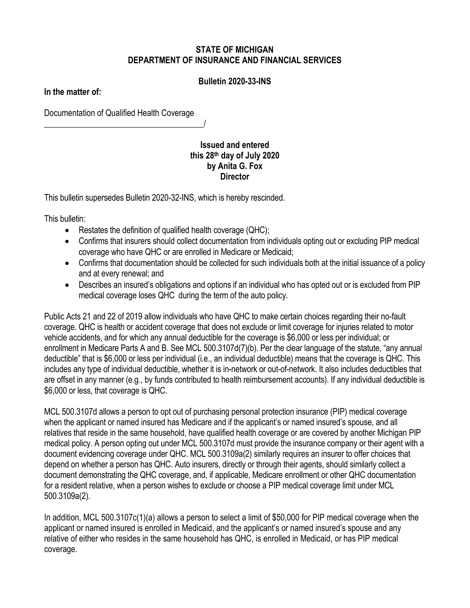## **STATE OF MICHIGAN DEPARTMENT OF INSURANCE AND FINANCIAL SERVICES**

## **Bulletin 2020-33-INS**

**In the matter of:**

Documentation of Qualified Health Coverage

\_\_\_\_\_\_\_\_\_\_\_\_\_\_\_\_\_\_\_\_\_\_\_\_\_\_\_\_\_\_\_\_\_\_\_\_\_\_/

## **Issued and entered this 28th day of July 2020 by Anita G. Fox Director**

This bulletin supersedes Bulletin 2020-32-INS, which is hereby rescinded.

This bulletin:

- Restates the definition of qualified health coverage (QHC);
- Confirms that insurers should collect documentation from individuals opting out or excluding PIP medical coverage who have QHC or are enrolled in Medicare or Medicaid;
- Confirms that documentation should be collected for such individuals both at the initial issuance of a policy and at every renewal; and
- Describes an insured's obligations and options if an individual who has opted out or is excluded from PIP medical coverage loses QHC during the term of the auto policy.

Public Acts 21 and 22 of 2019 allow individuals who have QHC to make certain choices regarding their no-fault coverage. QHC is health or accident coverage that does not exclude or limit coverage for injuries related to motor vehicle accidents, and for which any annual deductible for the coverage is \$6,000 or less per individual; or enrollment in Medicare Parts A and B. See MCL 500.3107d(7)(b). Per the clear language of the statute, "any annual deductible" that is \$6,000 or less per individual (i.e., an individual deductible) means that the coverage is QHC. This includes any type of individual deductible, whether it is in-network or out-of-network. It also includes deductibles that are offset in any manner (e.g., by funds contributed to health reimbursement accounts). If any individual deductible is \$6,000 or less, that coverage is QHC.

MCL 500.3107d allows a person to opt out of purchasing personal protection insurance (PIP) medical coverage when the applicant or named insured has Medicare and if the applicant's or named insured's spouse, and all relatives that reside in the same household, have qualified health coverage or are covered by another Michigan PIP medical policy. A person opting out under MCL 500.3107d must provide the insurance company or their agent with a document evidencing coverage under QHC. MCL 500.3109a(2) similarly requires an insurer to offer choices that depend on whether a person has QHC. Auto insurers, directly or through their agents, should similarly collect a document demonstrating the QHC coverage, and, if applicable, Medicare enrollment or other QHC documentation for a resident relative, when a person wishes to exclude or choose a PIP medical coverage limit under MCL 500.3109a(2).

In addition, MCL 500.3107c(1)(a) allows a person to select a limit of \$50,000 for PIP medical coverage when the applicant or named insured is enrolled in Medicaid, and the applicant's or named insured's spouse and any relative of either who resides in the same household has QHC, is enrolled in Medicaid, or has PIP medical coverage.